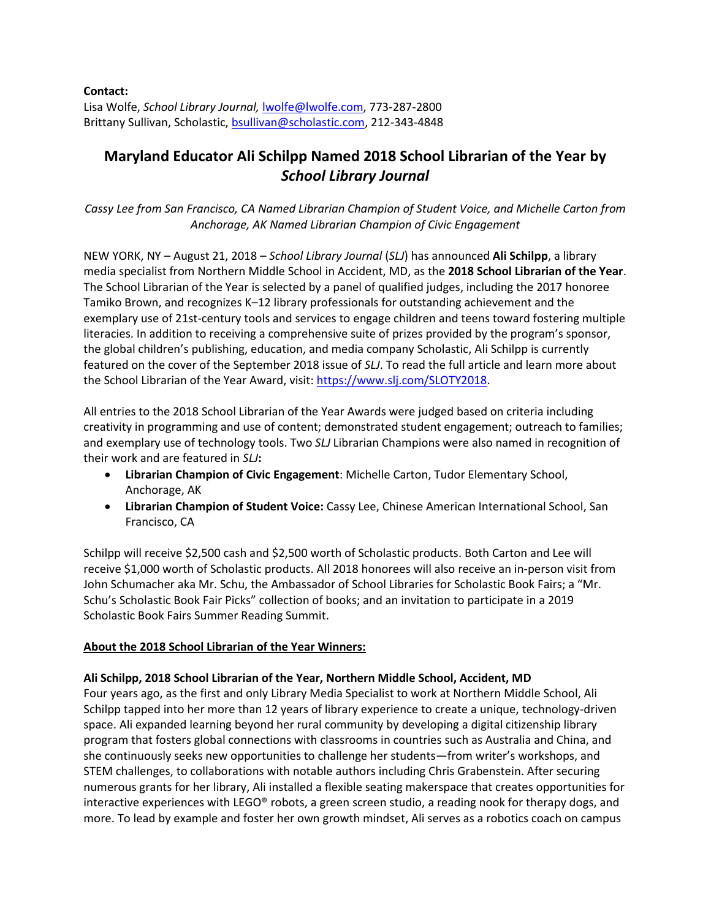**Contact:**  Lisa Wolfe, *School Library Journal,* [lwolfe@lwolfe.com,](file://///Schnyshare1/corporatecom/SLP/SLJ%20School%20Librarian%20of%20the%20Year/2017/Press%20Release/lwolfe@lwolfe.com) 773-287-2800 Brittany Sullivan, Scholastic, [bsullivan@scholastic.com,](mailto:bsullivan@scholastic.com) 212-343-4848

# **Maryland Educator Ali Schilpp Named 2018 School Librarian of the Year by**  *School Library Journal*

*Cassy Lee from San Francisco, CA Named Librarian Champion of Student Voice, and Michelle Carton from Anchorage, AK Named Librarian Champion of Civic Engagement*

NEW YORK, NY – August 21, 2018 – *School Library Journal* (*SLJ*) has announced **Ali Schilpp**, a library media specialist from Northern Middle School in Accident, MD, as the **2018 School Librarian of the Year**. The School Librarian of the Year is selected by a panel of qualified judges, including the 2017 honoree Tamiko Brown, and recognizes K–12 library professionals for outstanding achievement and the exemplary use of 21st-century tools and services to engage children and teens toward fostering multiple literacies. In addition to receiving a comprehensive suite of prizes provided by the program's sponsor, the global children's publishing, education, and media company Scholastic, Ali Schilpp is currently featured on the cover of the September 2018 issue of *SLJ*. To read the full article and learn more about the School Librarian of the Year Award, visit[: https://www.slj.com/SLOTY2018.](https://www.slj.com/SLOTY2018)

All entries to the 2018 School Librarian of the Year Awards were judged based on criteria including creativity in programming and use of content; demonstrated student engagement; outreach to families; and exemplary use of technology tools. Two *SLJ* Librarian Champions were also named in recognition of their work and are featured in *SLJ***:**

- **Librarian Champion of Civic Engagement**: Michelle Carton, Tudor Elementary School, Anchorage, AK
- **Librarian Champion of Student Voice:** Cassy Lee, Chinese American International School, San Francisco, CA

Schilpp will receive \$2,500 cash and \$2,500 worth of Scholastic products. Both Carton and Lee will receive \$1,000 worth of Scholastic products. All 2018 honorees will also receive an in-person visit from John Schumacher aka Mr. Schu, the Ambassador of School Libraries for Scholastic Book Fairs; a "Mr. Schu's Scholastic Book Fair Picks" collection of books; and an invitation to participate in a 2019 Scholastic Book Fairs Summer Reading Summit.

#### **About the 2018 School Librarian of the Year Winners:**

### **Ali Schilpp, 2018 School Librarian of the Year, Northern Middle School, Accident, MD**

Four years ago, as the first and only Library Media Specialist to work at Northern Middle School, Ali Schilpp tapped into her more than 12 years of library experience to create a unique, technology-driven space. Ali expanded learning beyond her rural community by developing a digital citizenship library program that fosters global connections with classrooms in countries such as Australia and China, and she continuously seeks new opportunities to challenge her students—from writer's workshops, and STEM challenges, to collaborations with notable authors including Chris Grabenstein. After securing numerous grants for her library, Ali installed a flexible seating makerspace that creates opportunities for interactive experiences with LEGO® robots, a green screen studio, a reading nook for therapy dogs, and more. To lead by example and foster her own growth mindset, Ali serves as a robotics coach on campus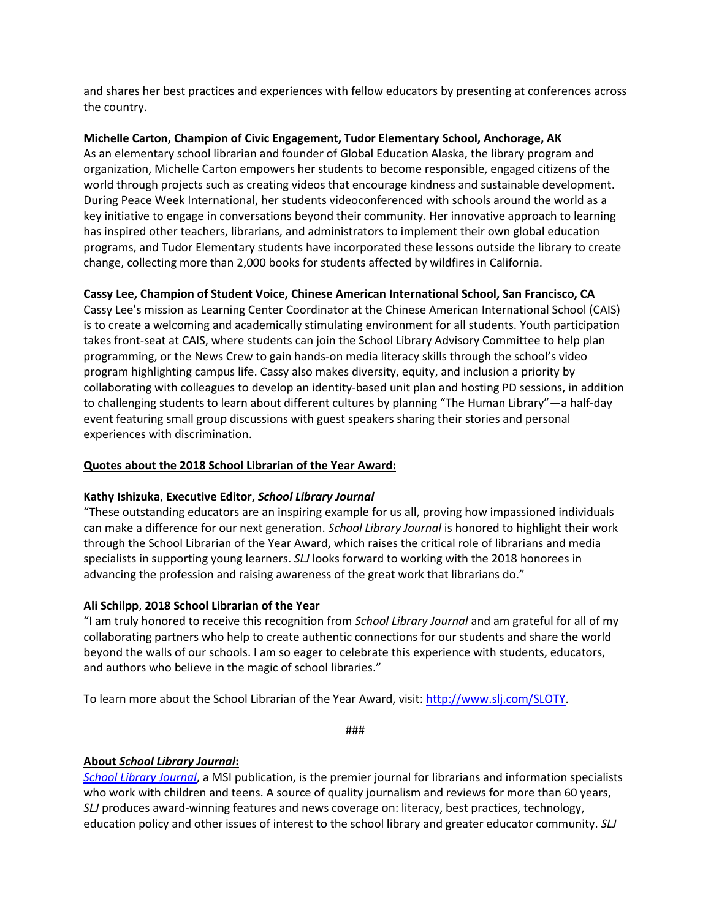and shares her best practices and experiences with fellow educators by presenting at conferences across the country.

**Michelle Carton, Champion of Civic Engagement, Tudor Elementary School, Anchorage, AK**

As an elementary school librarian and founder of Global Education Alaska, the library program and organization, Michelle Carton empowers her students to become responsible, engaged citizens of the world through projects such as creating videos that encourage kindness and sustainable development. During Peace Week International, her students videoconferenced with schools around the world as a key initiative to engage in conversations beyond their community. Her innovative approach to learning has inspired other teachers, librarians, and administrators to implement their own global education programs, and Tudor Elementary students have incorporated these lessons outside the library to create change, collecting more than 2,000 books for students affected by wildfires in California.

### **Cassy Lee, Champion of Student Voice, Chinese American International School, San Francisco, CA**

Cassy Lee's mission as Learning Center Coordinator at the Chinese American International School (CAIS) is to create a welcoming and academically stimulating environment for all students. Youth participation takes front-seat at CAIS, where students can join the School Library Advisory Committee to help plan programming, or the News Crew to gain hands-on media literacy skills through the school's video program highlighting campus life. Cassy also makes diversity, equity, and inclusion a priority by collaborating with colleagues to develop an identity-based unit plan and hosting PD sessions, in addition to challenging students to learn about different cultures by planning "The Human Library"—a half-day event featuring small group discussions with guest speakers sharing their stories and personal experiences with discrimination.

### **Quotes about the 2018 School Librarian of the Year Award:**

### **Kathy Ishizuka**, **Executive Editor,** *School Library Journal*

"These outstanding educators are an inspiring example for us all, proving how impassioned individuals can make a difference for our next generation. *School Library Journal* is honored to highlight their work through the School Librarian of the Year Award, which raises the critical role of librarians and media specialists in supporting young learners. *SLJ* looks forward to working with the 2018 honorees in advancing the profession and raising awareness of the great work that librarians do."

### **Ali Schilpp**, **2018 School Librarian of the Year**

"I am truly honored to receive this recognition from *School Library Journal* and am grateful for all of my collaborating partners who help to create authentic connections for our students and share the world beyond the walls of our schools. I am so eager to celebrate this experience with students, educators, and authors who believe in the magic of school libraries."

To learn more about the School Librarian of the Year Award, visit: [http://www.slj.com/SLOTY.](http://www.slj.com/SLOTY)

###

## **About** *School Library Journal***:**

*[School Library Journal](http://www.slj.com/)*, a MSI publication, is the premier journal for librarians and information specialists who work with children and teens. A source of quality journalism and reviews for more than 60 years, *SLJ* produces award-winning features and news coverage on: literacy, best practices, technology, education policy and other issues of interest to the school library and greater educator community. *SLJ*